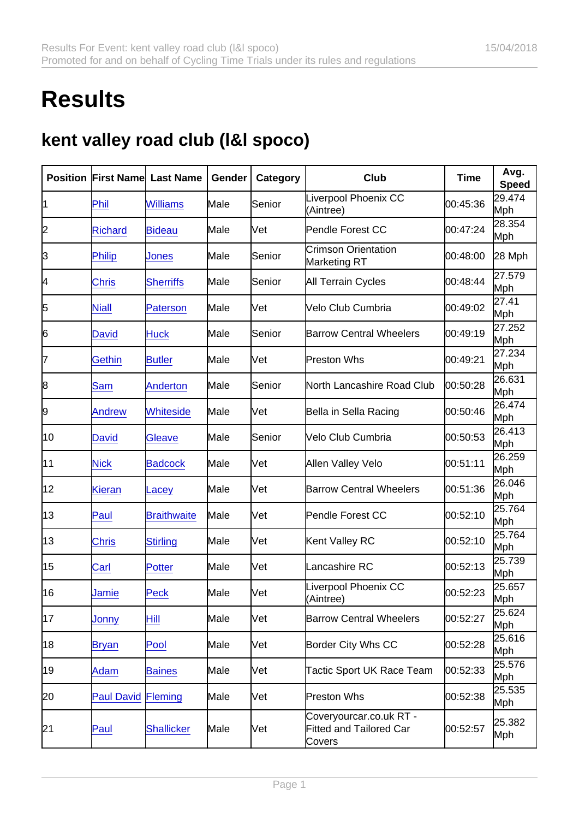## **Results**

## kent valley road club (l&l spoco)

| Position | <b>First Name</b> | Last Name          | Gender | Category   | Club                                                                | <b>Time</b> | Avg.<br>Speed |
|----------|-------------------|--------------------|--------|------------|---------------------------------------------------------------------|-------------|---------------|
| 1        | Phil              | <b>Williams</b>    | Male   | Senior     | Liverpool Phoenix CC<br>(Aintree)                                   | 00:45:36    | 29.474<br>Mph |
| 2        | <b>Richard</b>    | <b>Bideau</b>      | Male   | Vet        | Pendle Forest CC                                                    | 00:47:24    | 28.354<br>Mph |
| 3        | <b>Philip</b>     | Jones              | Male   | Senior     | <b>Crimson Orientation</b><br><b>Marketing RT</b>                   | 00:48:00    | 28 Mph        |
| 4        | <b>Chris</b>      | <b>Sherriffs</b>   | Male   | Senior     | <b>All Terrain Cycles</b>                                           | 00:48:44    | 27.579<br>Mph |
| 5        | <b>Niall</b>      | <b>Paterson</b>    | Male   | Vet        | Velo Club Cumbria                                                   | 00:49:02    | 27.41<br>Mph  |
| 6        | David             | <b>Huck</b>        | Male   | Senior     | <b>Barrow Central Wheelers</b>                                      | 00:49:19    | 27.252<br>Mph |
| 7        | Gethin            | <b>Butler</b>      | Male   | <b>Net</b> | Preston Whs                                                         | 00:49:21    | 27.234<br>Mph |
| 8        | Sam               | Anderton           | Male   | Senior     | North Lancashire Road Club                                          | 00:50:28    | 26.631<br>Mph |
| 9        | Andrew            | <b>Whiteside</b>   | Male   | Vet        | Bella in Sella Racing                                               | 00:50:46    | 26.474<br>Mph |
| 10       | David             | Gleave             | Male   | Senior     | Velo Club Cumbria                                                   | 00:50:53    | 26.413<br>Mph |
| 11       | <b>Nick</b>       | <b>Badcock</b>     | Male   | Vet        | Allen Valley Velo                                                   | 00:51:11    | 26.259<br>Mph |
| 12       | <b>Kieran</b>     | Lacey              | Male   | Vet        | <b>Barrow Central Wheelers</b>                                      | 00:51:36    | 26.046<br>Mph |
| 13       | Paul              | <b>Braithwaite</b> | Male   | Vet        | <b>Pendle Forest CC</b>                                             | 00:52:10    | 25.764<br>Mph |
| 13       | <b>Chris</b>      | <b>Stirling</b>    | Male   | Vet        | Kent Valley RC                                                      | 00:52:10    | 25.764<br>Mph |
| 15       | Carl              | <b>Potter</b>      | Male   | Vet        | Lancashire RC                                                       | 00:52:13    | 25.739<br>Mph |
| 16       | Jamie             | Peck               | Male   | Vet        | Liverpool Phoenix CC<br>(Aintree)                                   | 00:52:23    | 25.657<br>Mph |
| 17       | Jonny             | Hill               | Male   | Vet        | <b>Barrow Central Wheelers</b>                                      | 00:52:27    | 25.624<br>Mph |
| 18       | <u>Bryan</u>      | Pool               | Male   | Vet        | <b>Border City Whs CC</b>                                           | 00:52:28    | 25.616<br>Mph |
| 19       | Adam              | <b>Baines</b>      | Male   | Vet        | Tactic Sport UK Race Team                                           | 00:52:33    | 25.576<br>Mph |
| 20       | <b>Paul David</b> | Fleming            | Male   | Vet        | <b>Preston Whs</b>                                                  | 00:52:38    | 25.535<br>Mph |
| 21       | Paul              | <b>Shallicker</b>  | Male   | Vet        | Coveryourcar.co.uk RT -<br><b>Fitted and Tailored Car</b><br>Covers | 00:52:57    | 25.382<br>Mph |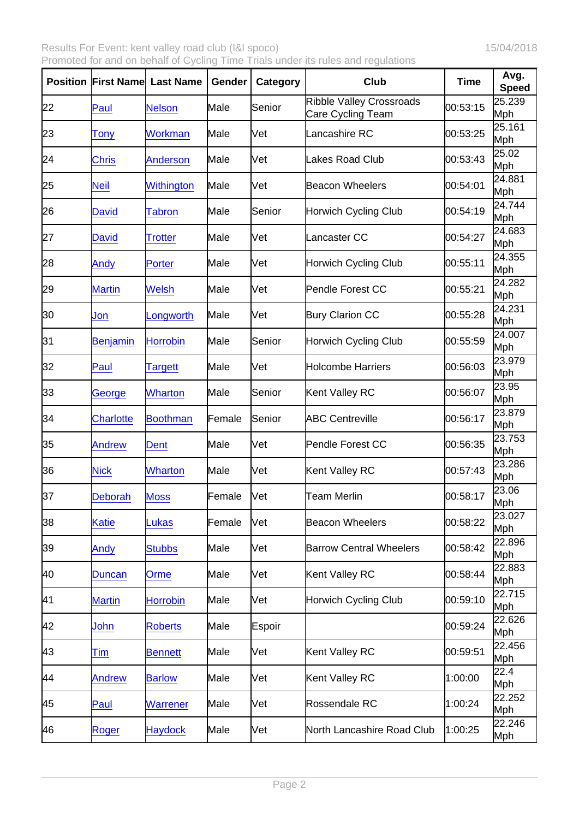Results For Event: kent valley road club (I&I spoco) 15/04/2018 Promoted for and on behalf of Cycling Time Trials under its rules and regulations

| Position | <b>First Name</b> | Last Name       | Gender | Category | Club                                                 | Time     | Avg.<br>Speed |
|----------|-------------------|-----------------|--------|----------|------------------------------------------------------|----------|---------------|
| 22       | Paul              | <b>Nelson</b>   | Male   | Senior   | <b>Ribble Valley Crossroads</b><br>Care Cycling Team | 00:53:15 | 25.239<br>Mph |
| 23       | Tony              | Workman         | Male   | Vet      | Lancashire RC                                        | 00:53:25 | 25.161<br>Mph |
| 24       | <b>Chris</b>      | Anderson        | Male   | Vet      | Lakes Road Club                                      | 00:53:43 | 25.02<br>Mph  |
| 25       | <b>Neil</b>       | Withington      | Male   | Vet      | <b>Beacon Wheelers</b>                               | 00:54:01 | 24.881<br>Mph |
| 26       | <b>David</b>      | <b>Tabron</b>   | Male   | Senior   | <b>Horwich Cycling Club</b>                          | 00:54:19 | 24.744<br>Mph |
| 27       | <b>David</b>      | Trotter         | Male   | Vet      | Lancaster CC                                         | 00:54:27 | 24.683<br>Mph |
| 28       | Andy              | Porter          | Male   | Vet      | Horwich Cycling Club                                 | 00:55:11 | 24.355<br>Mph |
| 29       | <b>Martin</b>     | <b>Welsh</b>    | Male   | Vet      | Pendle Forest CC                                     | 00:55:21 | 24.282<br>Mph |
| 30       | Jon               | _ongworth       | Male   | Vet      | <b>Bury Clarion CC</b>                               | 00:55:28 | 24.231<br>Mph |
| 31       | Benjamin          | <b>Horrobin</b> | Male   | Senior   | <b>Horwich Cycling Club</b>                          | 00:55:59 | 24.007<br>Mph |
| 32       | Paul              | Targett         | Male   | Vet      | <b>Holcombe Harriers</b>                             | 00:56:03 | 23.979<br>Mph |
| 33       | George            | <b>Wharton</b>  | Male   | Senior   | Kent Valley RC                                       | 00:56:07 | 23.95<br>Mph  |
| 34       | <b>Charlotte</b>  | <b>Boothman</b> | Female | Senior   | <b>ABC Centreville</b>                               | 00:56:17 | 23.879<br>Mph |
| 35       | Andrew            | Dent            | Male   | Vet      | <b>Pendle Forest CC</b>                              | 00:56:35 | 23.753<br>Mph |
| 36       | <b>Nick</b>       | <b>Wharton</b>  | Male   | Vet      | Kent Valley RC                                       | 00:57:43 | 23.286<br>Mph |
| 37       | <b>Deborah</b>    | <b>Moss</b>     | Female | Vet      | <b>Team Merlin</b>                                   | 00:58:17 | 23.06<br>Mph  |
| 38       | Katie             | Lukas           | Female | Vet      | <b>Beacon Wheelers</b>                               | 00:58:22 | 23.027<br>Mph |
| 39       | Andy              | <b>Stubbs</b>   | Male   | Vet      | <b>Barrow Central Wheelers</b>                       | 00:58:42 | 22.896<br>Mph |
| 40       | <b>Duncan</b>     | Orme            | Male   | Vet      | Kent Valley RC                                       | 00:58:44 | 22.883<br>Mph |
| 41       | <b>Martin</b>     | <b>Horrobin</b> | Male   | Vet      | <b>Horwich Cycling Club</b>                          | 00:59:10 | 22.715<br>Mph |
| 42       | John              | <b>Roberts</b>  | Male   | Espoir   |                                                      | 00:59:24 | 22.626<br>Mph |
| 43       | Tim               | <b>Bennett</b>  | Male   | Vet      | Kent Valley RC                                       | 00:59:51 | 22.456<br>Mph |
| 44       | <b>Andrew</b>     | <b>Barlow</b>   | Male   | Vet      | Kent Valley RC                                       | 1:00:00  | 22.4<br>Mph   |
| 45       | Paul              | <b>Warrener</b> | Male   | Vet      | Rossendale RC                                        | 1:00:24  | 22.252<br>Mph |
| 46       | Roger             | <b>Haydock</b>  | Male   | Vet      | North Lancashire Road Club                           | 1:00:25  | 22.246<br>Mph |